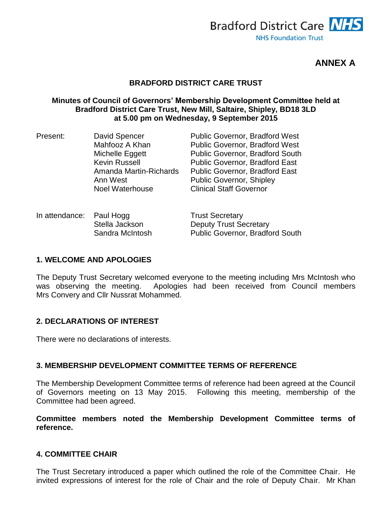

**ANNEX A**

### **BRADFORD DISTRICT CARE TRUST**

### **Minutes of Council of Governors' Membership Development Committee held at Bradford District Care Trust, New Mill, Saltaire, Shipley, BD18 3LD at 5.00 pm on Wednesday, 9 September 2015**

| David Spencer          | <b>Public Governor, Bradford West</b>  |
|------------------------|----------------------------------------|
| Mahfooz A Khan         | <b>Public Governor, Bradford West</b>  |
| Michelle Eggett        | <b>Public Governor, Bradford South</b> |
| <b>Kevin Russell</b>   | <b>Public Governor, Bradford East</b>  |
| Amanda Martin-Richards | <b>Public Governor, Bradford East</b>  |
| Ann West               | <b>Public Governor, Shipley</b>        |
| <b>Noel Waterhouse</b> | <b>Clinical Staff Governor</b>         |
|                        |                                        |

| In attendance: Paul Hogg |                 | <b>Trust Secretary</b>                 |
|--------------------------|-----------------|----------------------------------------|
|                          | Stella Jackson  | <b>Deputy Trust Secretary</b>          |
|                          | Sandra McIntosh | <b>Public Governor, Bradford South</b> |

### **1. WELCOME AND APOLOGIES**

The Deputy Trust Secretary welcomed everyone to the meeting including Mrs McIntosh who was observing the meeting. Apologies had been received from Council members Mrs Convery and Cllr Nussrat Mohammed.

### **2. DECLARATIONS OF INTEREST**

There were no declarations of interests.

### **3. MEMBERSHIP DEVELOPMENT COMMITTEE TERMS OF REFERENCE**

The Membership Development Committee terms of reference had been agreed at the Council of Governors meeting on 13 May 2015. Following this meeting, membership of the Committee had been agreed.

**Committee members noted the Membership Development Committee terms of reference.**

### **4. COMMITTEE CHAIR**

The Trust Secretary introduced a paper which outlined the role of the Committee Chair. He invited expressions of interest for the role of Chair and the role of Deputy Chair. Mr Khan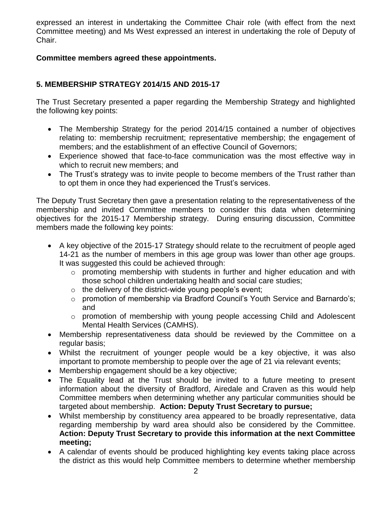expressed an interest in undertaking the Committee Chair role (with effect from the next Committee meeting) and Ms West expressed an interest in undertaking the role of Deputy of Chair.

### **Committee members agreed these appointments.**

## **5. MEMBERSHIP STRATEGY 2014/15 AND 2015-17**

The Trust Secretary presented a paper regarding the Membership Strategy and highlighted the following key points:

- The Membership Strategy for the period 2014/15 contained a number of objectives relating to: membership recruitment; representative membership; the engagement of members; and the establishment of an effective Council of Governors;
- Experience showed that face-to-face communication was the most effective way in which to recruit new members; and
- The Trust's strategy was to invite people to become members of the Trust rather than to opt them in once they had experienced the Trust's services.

The Deputy Trust Secretary then gave a presentation relating to the representativeness of the membership and invited Committee members to consider this data when determining objectives for the 2015-17 Membership strategy. During ensuring discussion, Committee members made the following key points:

- A key objective of the 2015-17 Strategy should relate to the recruitment of people aged 14-21 as the number of members in this age group was lower than other age groups. It was suggested this could be achieved through:
	- $\circ$  promoting membership with students in further and higher education and with those school children undertaking health and social care studies;
	- o the delivery of the district-wide young people's event;
	- o promotion of membership via Bradford Council's Youth Service and Barnardo's; and
	- o promotion of membership with young people accessing Child and Adolescent Mental Health Services (CAMHS).
- Membership representativeness data should be reviewed by the Committee on a regular basis;
- Whilst the recruitment of younger people would be a key objective, it was also important to promote membership to people over the age of 21 via relevant events;
- Membership engagement should be a key objective;
- The Equality lead at the Trust should be invited to a future meeting to present information about the diversity of Bradford, Airedale and Craven as this would help Committee members when determining whether any particular communities should be targeted about membership. **Action: Deputy Trust Secretary to pursue;**
- Whilst membership by constituency area appeared to be broadly representative, data regarding membership by ward area should also be considered by the Committee. **Action: Deputy Trust Secretary to provide this information at the next Committee meeting;**
- A calendar of events should be produced highlighting key events taking place across the district as this would help Committee members to determine whether membership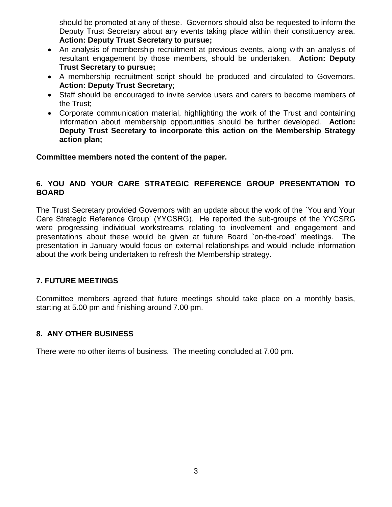should be promoted at any of these. Governors should also be requested to inform the Deputy Trust Secretary about any events taking place within their constituency area. **Action: Deputy Trust Secretary to pursue;**

- An analysis of membership recruitment at previous events, along with an analysis of resultant engagement by those members, should be undertaken. **Action: Deputy Trust Secretary to pursue;**
- A membership recruitment script should be produced and circulated to Governors. **Action: Deputy Trust Secretary**;
- Staff should be encouraged to invite service users and carers to become members of the Trust;
- Corporate communication material, highlighting the work of the Trust and containing information about membership opportunities should be further developed. **Action: Deputy Trust Secretary to incorporate this action on the Membership Strategy action plan;**

### **Committee members noted the content of the paper.**

## **6. YOU AND YOUR CARE STRATEGIC REFERENCE GROUP PRESENTATION TO BOARD**

The Trust Secretary provided Governors with an update about the work of the `You and Your Care Strategic Reference Group' (YYCSRG). He reported the sub-groups of the YYCSRG were progressing individual workstreams relating to involvement and engagement and presentations about these would be given at future Board `on-the-road' meetings. The presentation in January would focus on external relationships and would include information about the work being undertaken to refresh the Membership strategy.

## **7. FUTURE MEETINGS**

Committee members agreed that future meetings should take place on a monthly basis, starting at 5.00 pm and finishing around 7.00 pm.

## **8. ANY OTHER BUSINESS**

There were no other items of business. The meeting concluded at 7.00 pm.